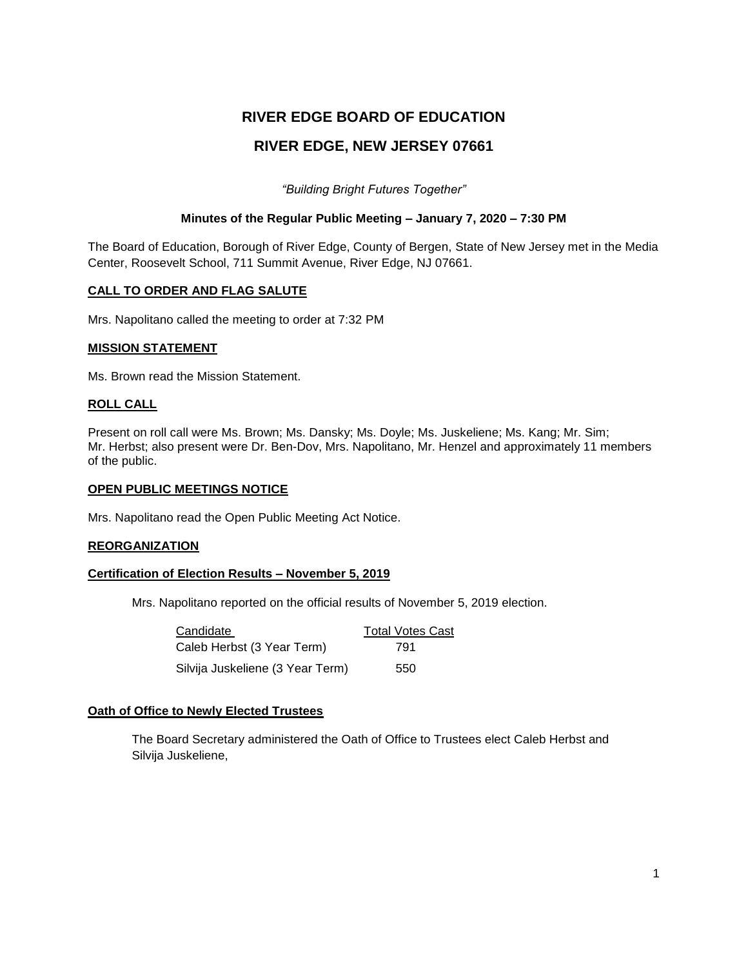# **RIVER EDGE BOARD OF EDUCATION RIVER EDGE, NEW JERSEY 07661**

*"Building Bright Futures Together"*

## **Minutes of the Regular Public Meeting – January 7, 2020 – 7:30 PM**

The Board of Education, Borough of River Edge, County of Bergen, State of New Jersey met in the Media Center, Roosevelt School, 711 Summit Avenue, River Edge, NJ 07661.

## **CALL TO ORDER AND FLAG SALUTE**

Mrs. Napolitano called the meeting to order at 7:32 PM

## **MISSION STATEMENT**

Ms. Brown read the Mission Statement.

## **ROLL CALL**

Present on roll call were Ms. Brown; Ms. Dansky; Ms. Doyle; Ms. Juskeliene; Ms. Kang; Mr. Sim; Mr. Herbst; also present were Dr. Ben-Dov, Mrs. Napolitano, Mr. Henzel and approximately 11 members of the public.

#### **OPEN PUBLIC MEETINGS NOTICE**

Mrs. Napolitano read the Open Public Meeting Act Notice.

## **REORGANIZATION**

## **Certification of Election Results – November 5, 2019**

Mrs. Napolitano reported on the official results of November 5, 2019 election.

| Candidate                        | <b>Total Votes Cast</b> |
|----------------------------------|-------------------------|
| Caleb Herbst (3 Year Term)       | 791                     |
| Silvija Juskeliene (3 Year Term) | 550                     |

## **Oath of Office to Newly Elected Trustees**

The Board Secretary administered the Oath of Office to Trustees elect Caleb Herbst and Silvija Juskeliene,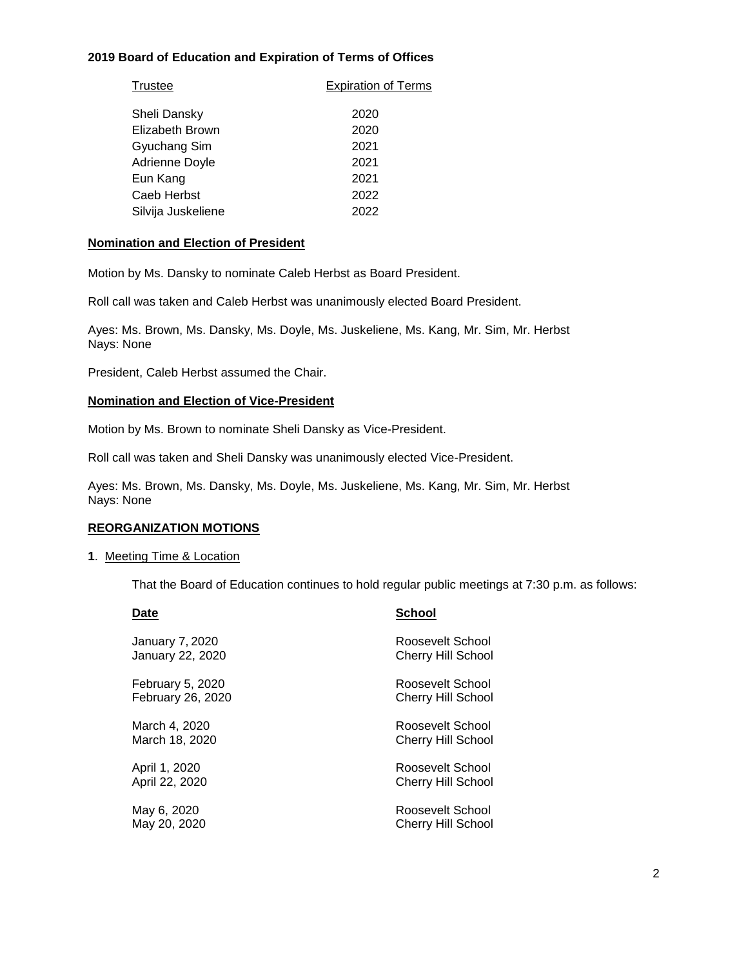# **2019 Board of Education and Expiration of Terms of Offices**

| Trustee            | <b>Expiration of Terms</b> |
|--------------------|----------------------------|
| Sheli Dansky       | 2020                       |
| Elizabeth Brown    | 2020                       |
| Gyuchang Sim       | 2021                       |
| Adrienne Doyle     | 2021                       |
| Eun Kang           | 2021                       |
| Caeb Herbst        | 2022                       |
| Silvija Juskeliene | 2022                       |

#### **Nomination and Election of President**

Motion by Ms. Dansky to nominate Caleb Herbst as Board President.

Roll call was taken and Caleb Herbst was unanimously elected Board President.

Ayes: Ms. Brown, Ms. Dansky, Ms. Doyle, Ms. Juskeliene, Ms. Kang, Mr. Sim, Mr. Herbst Nays: None

President, Caleb Herbst assumed the Chair.

#### **Nomination and Election of Vice-President**

Motion by Ms. Brown to nominate Sheli Dansky as Vice-President.

Roll call was taken and Sheli Dansky was unanimously elected Vice-President.

Ayes: Ms. Brown, Ms. Dansky, Ms. Doyle, Ms. Juskeliene, Ms. Kang, Mr. Sim, Mr. Herbst Nays: None

#### **REORGANIZATION MOTIONS**

#### **1**. Meeting Time & Location

That the Board of Education continues to hold regular public meetings at 7:30 p.m. as follows:

| Date                     | <b>School</b>             |
|--------------------------|---------------------------|
| January 7, 2020          | Roosevelt School          |
| January 22, 2020         | <b>Cherry Hill School</b> |
| February 5, 2020         | Roosevelt School          |
| <b>February 26, 2020</b> | <b>Cherry Hill School</b> |
| March 4, 2020            | Roosevelt School          |
| March 18, 2020           | <b>Cherry Hill School</b> |
| April 1, 2020            | Roosevelt School          |
| April 22, 2020           | Cherry Hill School        |
| May 6, 2020              | Roosevelt School          |
| May 20, 2020             | Cherry Hill School        |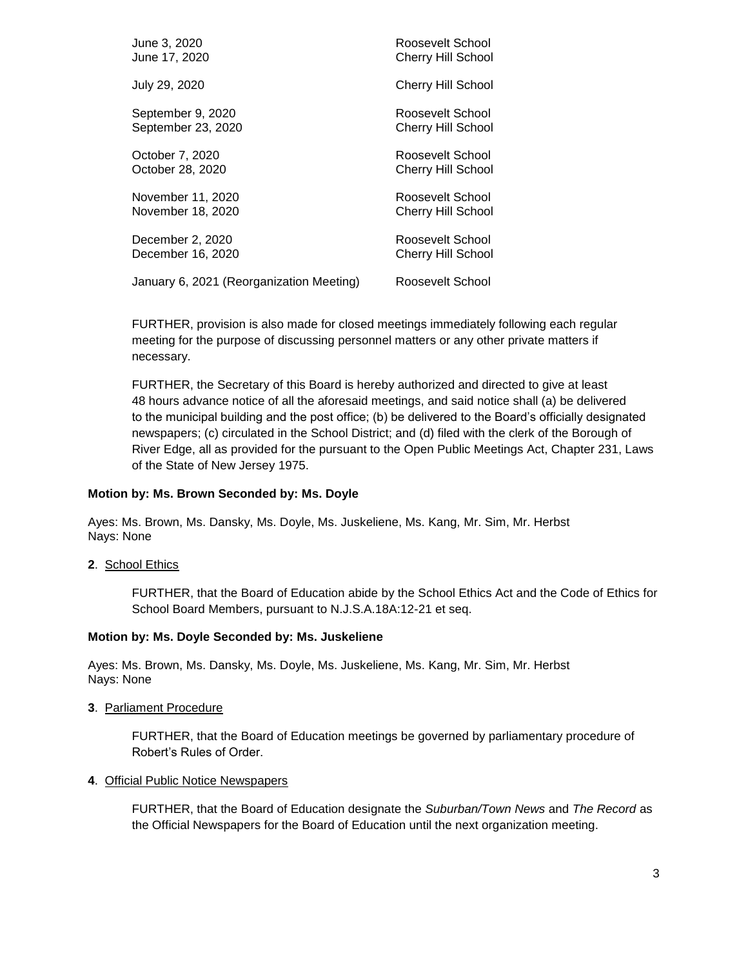| June 3, 2020                             | Roosevelt School          |
|------------------------------------------|---------------------------|
| June 17, 2020                            | <b>Cherry Hill School</b> |
| July 29, 2020                            | <b>Cherry Hill School</b> |
| September 9, 2020                        | Roosevelt School          |
| September 23, 2020                       | <b>Cherry Hill School</b> |
| October 7, 2020                          | Roosevelt School          |
| October 28, 2020                         | <b>Cherry Hill School</b> |
| November 11, 2020                        | Roosevelt School          |
| November 18, 2020                        | <b>Cherry Hill School</b> |
| December 2, 2020                         | Roosevelt School          |
| December 16, 2020                        | Cherry Hill School        |
| January 6, 2021 (Reorganization Meeting) | Roosevelt School          |

FURTHER, provision is also made for closed meetings immediately following each regular meeting for the purpose of discussing personnel matters or any other private matters if necessary.

FURTHER, the Secretary of this Board is hereby authorized and directed to give at least 48 hours advance notice of all the aforesaid meetings, and said notice shall (a) be delivered to the municipal building and the post office; (b) be delivered to the Board's officially designated newspapers; (c) circulated in the School District; and (d) filed with the clerk of the Borough of River Edge, all as provided for the pursuant to the Open Public Meetings Act, Chapter 231, Laws of the State of New Jersey 1975.

#### **Motion by: Ms. Brown Seconded by: Ms. Doyle**

Ayes: Ms. Brown, Ms. Dansky, Ms. Doyle, Ms. Juskeliene, Ms. Kang, Mr. Sim, Mr. Herbst Nays: None

**2**. School Ethics

FURTHER, that the Board of Education abide by the School Ethics Act and the Code of Ethics for School Board Members, pursuant to N.J.S.A.18A:12-21 et seq.

#### **Motion by: Ms. Doyle Seconded by: Ms. Juskeliene**

Ayes: Ms. Brown, Ms. Dansky, Ms. Doyle, Ms. Juskeliene, Ms. Kang, Mr. Sim, Mr. Herbst Nays: None

**3**. Parliament Procedure

FURTHER, that the Board of Education meetings be governed by parliamentary procedure of Robert's Rules of Order.

#### **4**. Official Public Notice Newspapers

FURTHER, that the Board of Education designate the *Suburban/Town News* and *The Record* as the Official Newspapers for the Board of Education until the next organization meeting.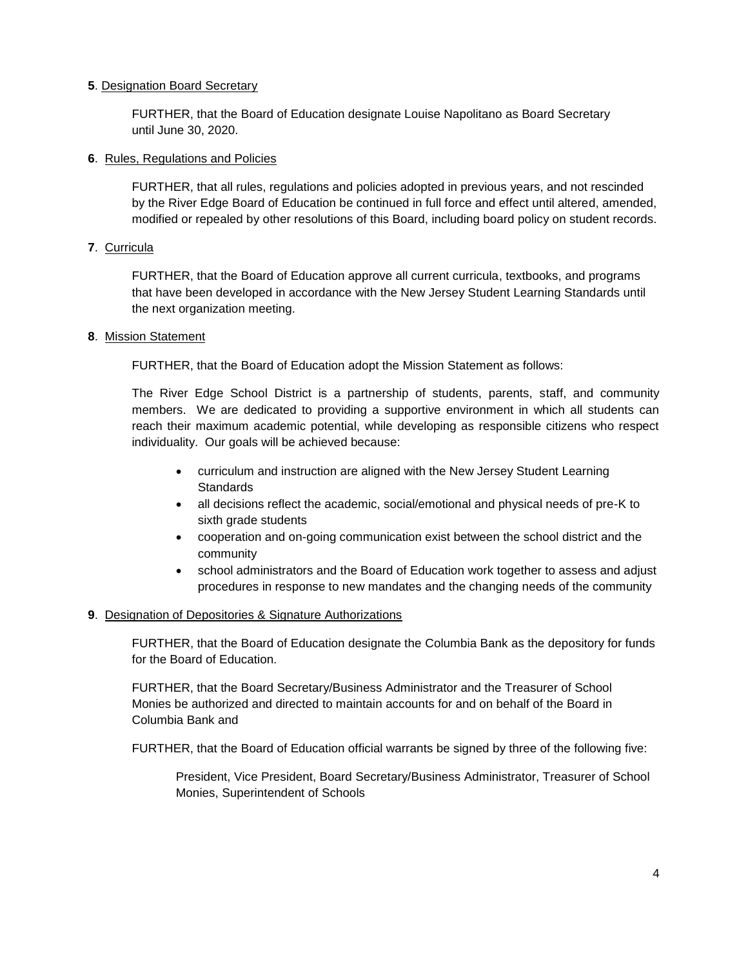## **5**. Designation Board Secretary

FURTHER, that the Board of Education designate Louise Napolitano as Board Secretary until June 30, 2020.

#### **6**. Rules, Regulations and Policies

FURTHER, that all rules, regulations and policies adopted in previous years, and not rescinded by the River Edge Board of Education be continued in full force and effect until altered, amended, modified or repealed by other resolutions of this Board, including board policy on student records.

## **7**. Curricula

FURTHER, that the Board of Education approve all current curricula, textbooks, and programs that have been developed in accordance with the New Jersey Student Learning Standards until the next organization meeting.

## **8**. Mission Statement

FURTHER, that the Board of Education adopt the Mission Statement as follows:

The River Edge School District is a partnership of students, parents, staff, and community members. We are dedicated to providing a supportive environment in which all students can reach their maximum academic potential, while developing as responsible citizens who respect individuality. Our goals will be achieved because:

- curriculum and instruction are aligned with the New Jersey Student Learning **Standards**
- all decisions reflect the academic, social/emotional and physical needs of pre-K to sixth grade students
- cooperation and on-going communication exist between the school district and the community
- school administrators and the Board of Education work together to assess and adjust procedures in response to new mandates and the changing needs of the community

#### **9**. Designation of Depositories & Signature Authorizations

FURTHER, that the Board of Education designate the Columbia Bank as the depository for funds for the Board of Education.

FURTHER, that the Board Secretary/Business Administrator and the Treasurer of School Monies be authorized and directed to maintain accounts for and on behalf of the Board in Columbia Bank and

FURTHER, that the Board of Education official warrants be signed by three of the following five:

President, Vice President, Board Secretary/Business Administrator, Treasurer of School Monies, Superintendent of Schools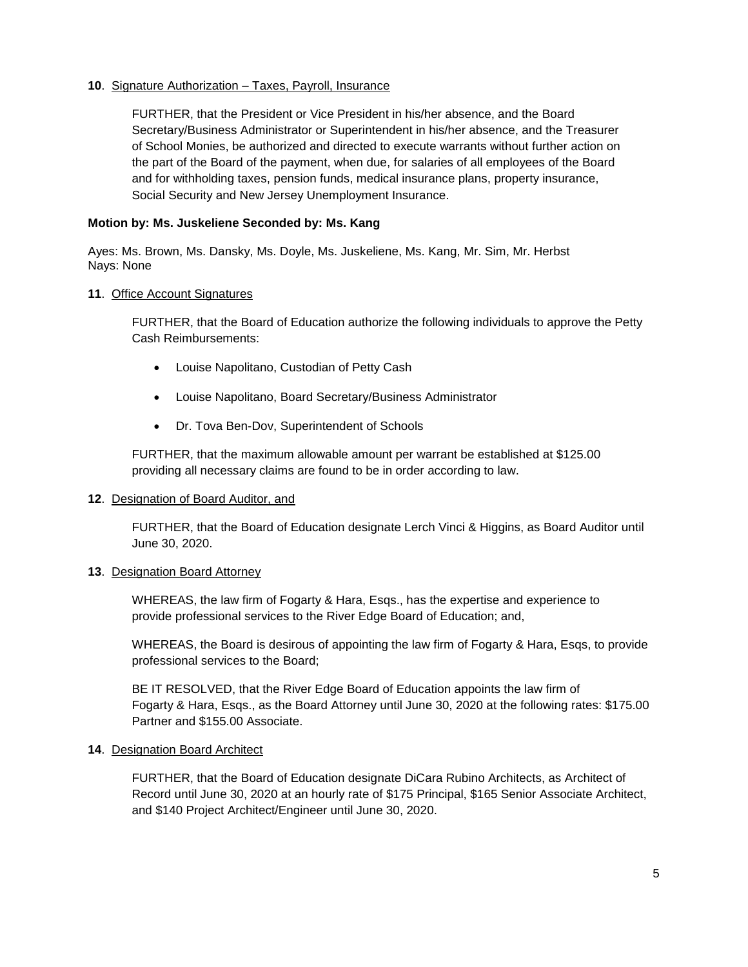## **10**. Signature Authorization – Taxes, Payroll, Insurance

FURTHER, that the President or Vice President in his/her absence, and the Board Secretary/Business Administrator or Superintendent in his/her absence, and the Treasurer of School Monies, be authorized and directed to execute warrants without further action on the part of the Board of the payment, when due, for salaries of all employees of the Board and for withholding taxes, pension funds, medical insurance plans, property insurance, Social Security and New Jersey Unemployment Insurance.

#### **Motion by: Ms. Juskeliene Seconded by: Ms. Kang**

Ayes: Ms. Brown, Ms. Dansky, Ms. Doyle, Ms. Juskeliene, Ms. Kang, Mr. Sim, Mr. Herbst Nays: None

#### **11**. Office Account Signatures

FURTHER, that the Board of Education authorize the following individuals to approve the Petty Cash Reimbursements:

- Louise Napolitano, Custodian of Petty Cash
- Louise Napolitano, Board Secretary/Business Administrator
- Dr. Tova Ben-Dov, Superintendent of Schools

FURTHER, that the maximum allowable amount per warrant be established at \$125.00 providing all necessary claims are found to be in order according to law.

#### **12**. Designation of Board Auditor, and

FURTHER, that the Board of Education designate Lerch Vinci & Higgins, as Board Auditor until June 30, 2020.

#### **13**. Designation Board Attorney

WHEREAS, the law firm of Fogarty & Hara, Esqs., has the expertise and experience to provide professional services to the River Edge Board of Education; and,

WHEREAS, the Board is desirous of appointing the law firm of Fogarty & Hara, Esqs, to provide professional services to the Board;

BE IT RESOLVED, that the River Edge Board of Education appoints the law firm of Fogarty & Hara, Esqs., as the Board Attorney until June 30, 2020 at the following rates: \$175.00 Partner and \$155.00 Associate.

#### **14**. Designation Board Architect

FURTHER, that the Board of Education designate DiCara Rubino Architects, as Architect of Record until June 30, 2020 at an hourly rate of \$175 Principal, \$165 Senior Associate Architect, and \$140 Project Architect/Engineer until June 30, 2020.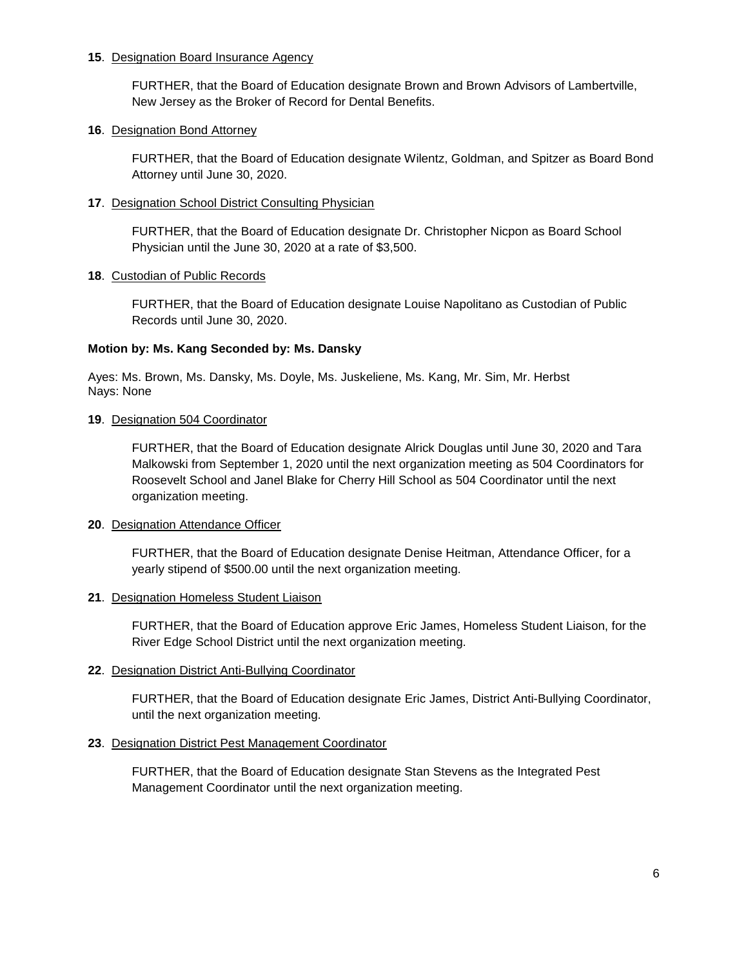#### **15**. Designation Board Insurance Agency

FURTHER, that the Board of Education designate Brown and Brown Advisors of Lambertville, New Jersey as the Broker of Record for Dental Benefits.

## **16**. Designation Bond Attorney

FURTHER, that the Board of Education designate Wilentz, Goldman, and Spitzer as Board Bond Attorney until June 30, 2020.

#### **17**. Designation School District Consulting Physician

FURTHER, that the Board of Education designate Dr. Christopher Nicpon as Board School Physician until the June 30, 2020 at a rate of \$3,500.

## **18**. Custodian of Public Records

FURTHER, that the Board of Education designate Louise Napolitano as Custodian of Public Records until June 30, 2020.

## **Motion by: Ms. Kang Seconded by: Ms. Dansky**

Ayes: Ms. Brown, Ms. Dansky, Ms. Doyle, Ms. Juskeliene, Ms. Kang, Mr. Sim, Mr. Herbst Nays: None

## **19**. Designation 504 Coordinator

FURTHER, that the Board of Education designate Alrick Douglas until June 30, 2020 and Tara Malkowski from September 1, 2020 until the next organization meeting as 504 Coordinators for Roosevelt School and Janel Blake for Cherry Hill School as 504 Coordinator until the next organization meeting.

#### **20**. Designation Attendance Officer

FURTHER, that the Board of Education designate Denise Heitman, Attendance Officer, for a yearly stipend of \$500.00 until the next organization meeting.

#### **21**. Designation Homeless Student Liaison

FURTHER, that the Board of Education approve Eric James, Homeless Student Liaison, for the River Edge School District until the next organization meeting.

## **22**. Designation District Anti-Bullying Coordinator

FURTHER, that the Board of Education designate Eric James, District Anti-Bullying Coordinator, until the next organization meeting.

## **23**. Designation District Pest Management Coordinator

FURTHER, that the Board of Education designate Stan Stevens as the Integrated Pest Management Coordinator until the next organization meeting.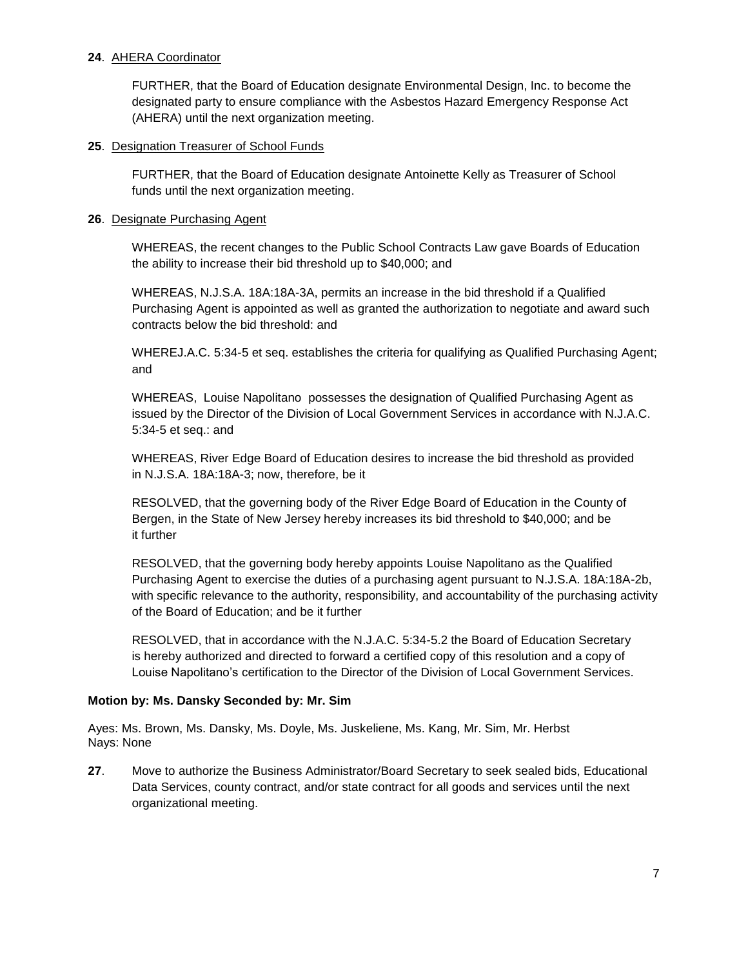## **24**. AHERA Coordinator

FURTHER, that the Board of Education designate Environmental Design, Inc. to become the designated party to ensure compliance with the Asbestos Hazard Emergency Response Act (AHERA) until the next organization meeting.

#### **25**. Designation Treasurer of School Funds

FURTHER, that the Board of Education designate Antoinette Kelly as Treasurer of School funds until the next organization meeting.

## **26**. Designate Purchasing Agent

WHEREAS, the recent changes to the Public School Contracts Law gave Boards of Education the ability to increase their bid threshold up to \$40,000; and

WHEREAS, N.J.S.A. 18A:18A-3A, permits an increase in the bid threshold if a Qualified Purchasing Agent is appointed as well as granted the authorization to negotiate and award such contracts below the bid threshold: and

WHEREJ.A.C. 5:34-5 et seq. establishes the criteria for qualifying as Qualified Purchasing Agent; and

WHEREAS, Louise Napolitano possesses the designation of Qualified Purchasing Agent as issued by the Director of the Division of Local Government Services in accordance with N.J.A.C. 5:34-5 et seq.: and

WHEREAS, River Edge Board of Education desires to increase the bid threshold as provided in N.J.S.A. 18A:18A-3; now, therefore, be it

RESOLVED, that the governing body of the River Edge Board of Education in the County of Bergen, in the State of New Jersey hereby increases its bid threshold to \$40,000; and be it further

RESOLVED, that the governing body hereby appoints Louise Napolitano as the Qualified Purchasing Agent to exercise the duties of a purchasing agent pursuant to N.J.S.A. 18A:18A-2b, with specific relevance to the authority, responsibility, and accountability of the purchasing activity of the Board of Education; and be it further

RESOLVED, that in accordance with the N.J.A.C. 5:34-5.2 the Board of Education Secretary is hereby authorized and directed to forward a certified copy of this resolution and a copy of Louise Napolitano's certification to the Director of the Division of Local Government Services.

## **Motion by: Ms. Dansky Seconded by: Mr. Sim**

Ayes: Ms. Brown, Ms. Dansky, Ms. Doyle, Ms. Juskeliene, Ms. Kang, Mr. Sim, Mr. Herbst Nays: None

**27**. Move to authorize the Business Administrator/Board Secretary to seek sealed bids, Educational Data Services, county contract, and/or state contract for all goods and services until the next organizational meeting.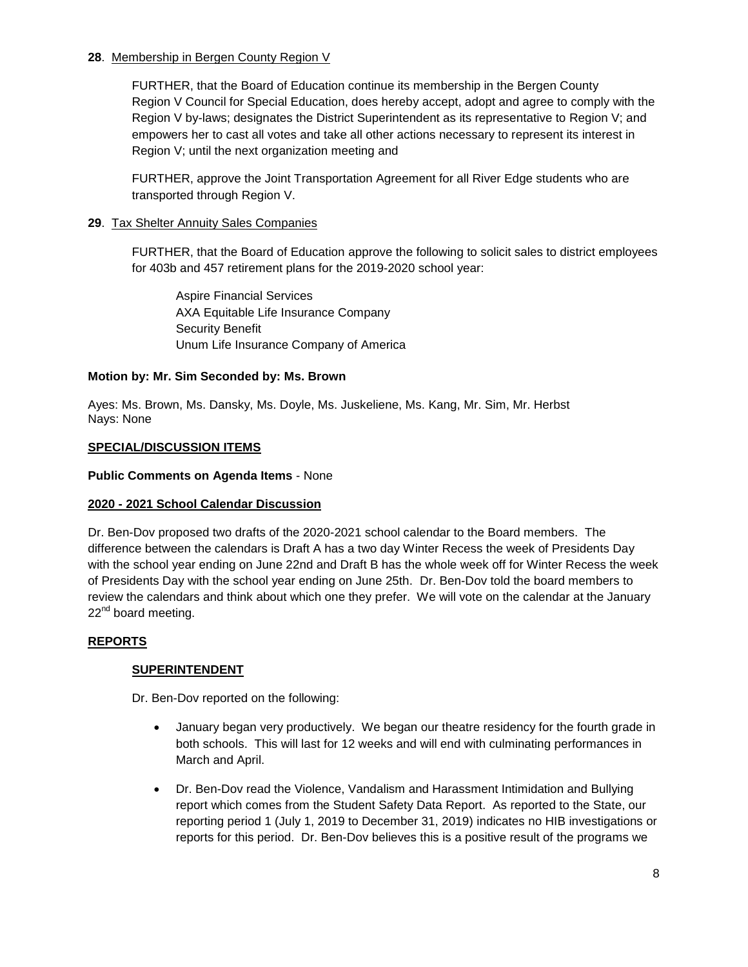## **28**. Membership in Bergen County Region V

FURTHER, that the Board of Education continue its membership in the Bergen County Region V Council for Special Education, does hereby accept, adopt and agree to comply with the Region V by-laws; designates the District Superintendent as its representative to Region V; and empowers her to cast all votes and take all other actions necessary to represent its interest in Region V; until the next organization meeting and

FURTHER, approve the Joint Transportation Agreement for all River Edge students who are transported through Region V.

## **29**. Tax Shelter Annuity Sales Companies

FURTHER, that the Board of Education approve the following to solicit sales to district employees for 403b and 457 retirement plans for the 2019-2020 school year:

Aspire Financial Services AXA Equitable Life Insurance Company Security Benefit Unum Life Insurance Company of America

# **Motion by: Mr. Sim Seconded by: Ms. Brown**

Ayes: Ms. Brown, Ms. Dansky, Ms. Doyle, Ms. Juskeliene, Ms. Kang, Mr. Sim, Mr. Herbst Nays: None

## **SPECIAL/DISCUSSION ITEMS**

## **Public Comments on Agenda Items** - None

## **2020 - 2021 School Calendar Discussion**

Dr. Ben-Dov proposed two drafts of the 2020-2021 school calendar to the Board members. The difference between the calendars is Draft A has a two day Winter Recess the week of Presidents Day with the school year ending on June 22nd and Draft B has the whole week off for Winter Recess the week of Presidents Day with the school year ending on June 25th. Dr. Ben-Dov told the board members to review the calendars and think about which one they prefer. We will vote on the calendar at the January  $22<sup>nd</sup>$  board meeting.

## **REPORTS**

## **SUPERINTENDENT**

Dr. Ben-Dov reported on the following:

- January began very productively. We began our theatre residency for the fourth grade in both schools. This will last for 12 weeks and will end with culminating performances in March and April.
- Dr. Ben-Dov read the Violence, Vandalism and Harassment Intimidation and Bullying report which comes from the Student Safety Data Report. As reported to the State, our reporting period 1 (July 1, 2019 to December 31, 2019) indicates no HIB investigations or reports for this period. Dr. Ben-Dov believes this is a positive result of the programs we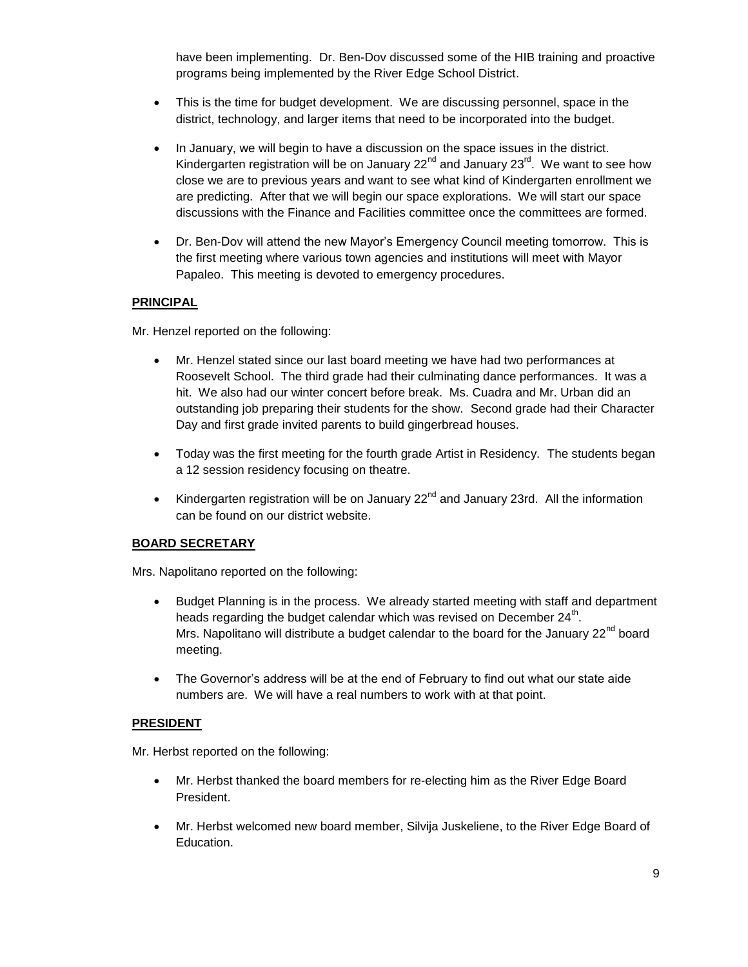have been implementing. Dr. Ben-Dov discussed some of the HIB training and proactive programs being implemented by the River Edge School District.

- This is the time for budget development. We are discussing personnel, space in the district, technology, and larger items that need to be incorporated into the budget.
- In January, we will begin to have a discussion on the space issues in the district. Kindergarten registration will be on January 22<sup>nd</sup> and January 23<sup>rd</sup>. We want to see how close we are to previous years and want to see what kind of Kindergarten enrollment we are predicting. After that we will begin our space explorations. We will start our space discussions with the Finance and Facilities committee once the committees are formed.
- Dr. Ben-Dov will attend the new Mayor's Emergency Council meeting tomorrow. This is the first meeting where various town agencies and institutions will meet with Mayor Papaleo. This meeting is devoted to emergency procedures.

## **PRINCIPAL**

Mr. Henzel reported on the following:

- Mr. Henzel stated since our last board meeting we have had two performances at Roosevelt School. The third grade had their culminating dance performances. It was a hit. We also had our winter concert before break. Ms. Cuadra and Mr. Urban did an outstanding job preparing their students for the show. Second grade had their Character Day and first grade invited parents to build gingerbread houses.
- Today was the first meeting for the fourth grade Artist in Residency. The students began a 12 session residency focusing on theatre.
- Kindergarten registration will be on January 22<sup>nd</sup> and January 23rd. All the information can be found on our district website.

## **BOARD SECRETARY**

Mrs. Napolitano reported on the following:

- Budget Planning is in the process. We already started meeting with staff and department heads regarding the budget calendar which was revised on December 24<sup>th</sup>. Mrs. Napolitano will distribute a budget calendar to the board for the January  $22<sup>nd</sup>$  board meeting.
- The Governor's address will be at the end of February to find out what our state aide numbers are. We will have a real numbers to work with at that point.

## **PRESIDENT**

Mr. Herbst reported on the following:

- Mr. Herbst thanked the board members for re-electing him as the River Edge Board President.
- Mr. Herbst welcomed new board member, Silvija Juskeliene, to the River Edge Board of Education.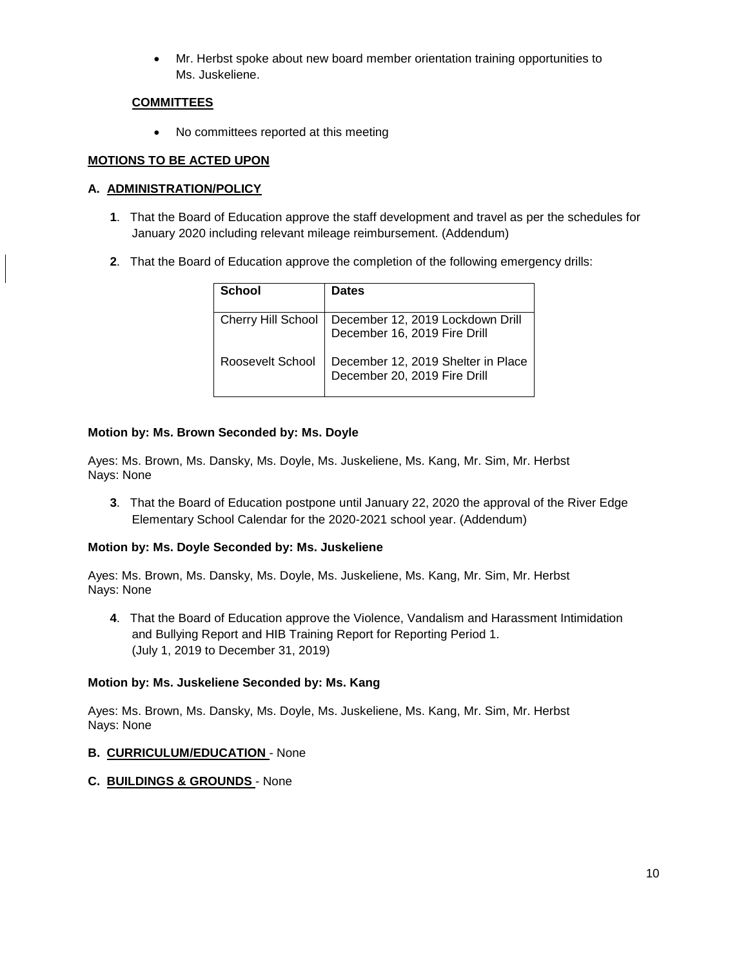Mr. Herbst spoke about new board member orientation training opportunities to Ms. Juskeliene.

## **COMMITTEES**

• No committees reported at this meeting

# **MOTIONS TO BE ACTED UPON**

# **A. ADMINISTRATION/POLICY**

- **1**. That the Board of Education approve the staff development and travel as per the schedules for January 2020 including relevant mileage reimbursement. (Addendum)
- **2**. That the Board of Education approve the completion of the following emergency drills:

| School             | <b>Dates</b>                                                       |
|--------------------|--------------------------------------------------------------------|
| Cherry Hill School | December 12, 2019 Lockdown Drill<br>December 16, 2019 Fire Drill   |
| Roosevelt School   | December 12, 2019 Shelter in Place<br>December 20, 2019 Fire Drill |

## **Motion by: Ms. Brown Seconded by: Ms. Doyle**

Ayes: Ms. Brown, Ms. Dansky, Ms. Doyle, Ms. Juskeliene, Ms. Kang, Mr. Sim, Mr. Herbst Nays: None

**3**. That the Board of Education postpone until January 22, 2020 the approval of the River Edge Elementary School Calendar for the 2020-2021 school year. (Addendum)

## **Motion by: Ms. Doyle Seconded by: Ms. Juskeliene**

Ayes: Ms. Brown, Ms. Dansky, Ms. Doyle, Ms. Juskeliene, Ms. Kang, Mr. Sim, Mr. Herbst Nays: None

**4**. That the Board of Education approve the Violence, Vandalism and Harassment Intimidation and Bullying Report and HIB Training Report for Reporting Period 1. (July 1, 2019 to December 31, 2019)

## **Motion by: Ms. Juskeliene Seconded by: Ms. Kang**

Ayes: Ms. Brown, Ms. Dansky, Ms. Doyle, Ms. Juskeliene, Ms. Kang, Mr. Sim, Mr. Herbst Nays: None

## **B. CURRICULUM/EDUCATION** - None

## **C. BUILDINGS & GROUNDS** - None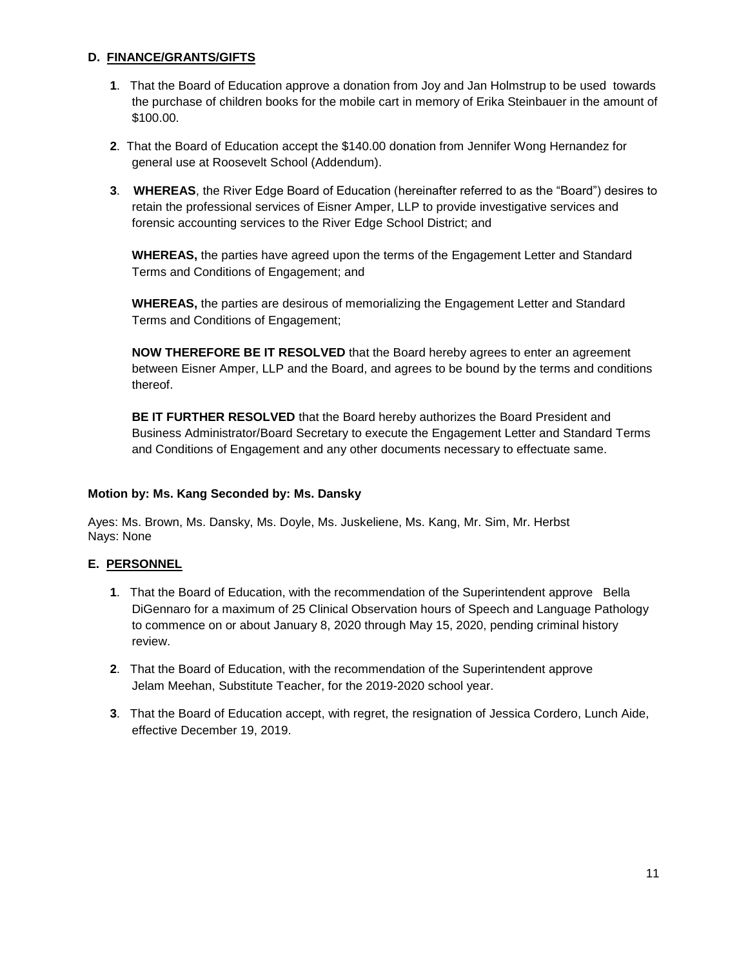# **D. FINANCE/GRANTS/GIFTS**

- **1**. That the Board of Education approve a donation from Joy and Jan Holmstrup to be used towards the purchase of children books for the mobile cart in memory of Erika Steinbauer in the amount of \$100.00.
- **2**. That the Board of Education accept the \$140.00 donation from Jennifer Wong Hernandez for general use at Roosevelt School (Addendum).
- **3**. **WHEREAS**, the River Edge Board of Education (hereinafter referred to as the "Board") desires to retain the professional services of Eisner Amper, LLP to provide investigative services and forensic accounting services to the River Edge School District; and

**WHEREAS,** the parties have agreed upon the terms of the Engagement Letter and Standard Terms and Conditions of Engagement; and

**WHEREAS,** the parties are desirous of memorializing the Engagement Letter and Standard Terms and Conditions of Engagement;

**NOW THEREFORE BE IT RESOLVED** that the Board hereby agrees to enter an agreement between Eisner Amper, LLP and the Board, and agrees to be bound by the terms and conditions thereof.

**BE IT FURTHER RESOLVED** that the Board hereby authorizes the Board President and Business Administrator/Board Secretary to execute the Engagement Letter and Standard Terms and Conditions of Engagement and any other documents necessary to effectuate same.

## **Motion by: Ms. Kang Seconded by: Ms. Dansky**

Ayes: Ms. Brown, Ms. Dansky, Ms. Doyle, Ms. Juskeliene, Ms. Kang, Mr. Sim, Mr. Herbst Nays: None

## **E. PERSONNEL**

- **1**. That the Board of Education, with the recommendation of the Superintendent approve Bella DiGennaro for a maximum of 25 Clinical Observation hours of Speech and Language Pathology to commence on or about January 8, 2020 through May 15, 2020, pending criminal history review.
- **2**. That the Board of Education, with the recommendation of the Superintendent approve Jelam Meehan, Substitute Teacher, for the 2019-2020 school year.
- **3**. That the Board of Education accept, with regret, the resignation of Jessica Cordero, Lunch Aide, effective December 19, 2019.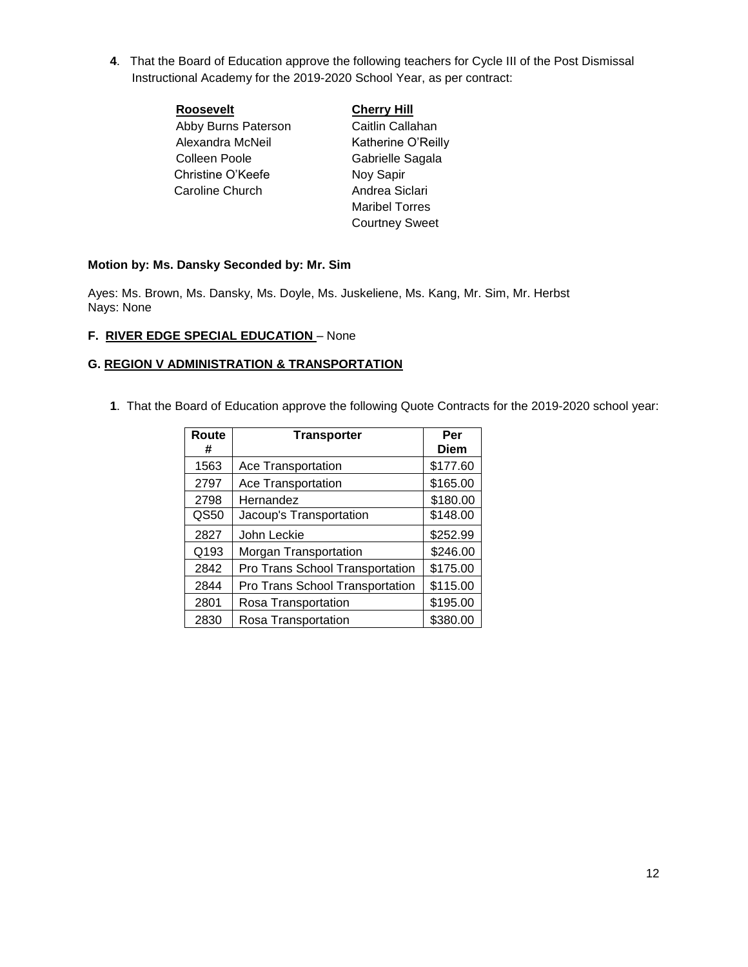**4**. That the Board of Education approve the following teachers for Cycle III of the Post Dismissal Instructional Academy for the 2019-2020 School Year, as per contract:

| <b>Roosevelt</b>    | <b>Cherry Hill</b>    |
|---------------------|-----------------------|
| Abby Burns Paterson | Caitlin Callahan      |
| Alexandra McNeil    | Katherine O'Reilly    |
| Colleen Poole       | Gabrielle Sagala      |
| Christine O'Keefe   | Noy Sapir             |
| Caroline Church     | Andrea Siclari        |
|                     | <b>Maribel Torres</b> |
|                     | <b>Courtney Sweet</b> |

## **Motion by: Ms. Dansky Seconded by: Mr. Sim**

Ayes: Ms. Brown, Ms. Dansky, Ms. Doyle, Ms. Juskeliene, Ms. Kang, Mr. Sim, Mr. Herbst Nays: None

## **F. RIVER EDGE SPECIAL EDUCATION** – None

## **G. REGION V ADMINISTRATION & TRANSPORTATION**

**1**. That the Board of Education approve the following Quote Contracts for the 2019-2020 school year:

| Route<br># | <b>Transporter</b>                     | Per<br><b>Diem</b> |
|------------|----------------------------------------|--------------------|
| 1563       | Ace Transportation                     | \$177.60           |
| 2797       | Ace Transportation                     | \$165.00           |
| 2798       | Hernandez                              | \$180.00           |
| QS50       | Jacoup's Transportation                | \$148.00           |
| 2827       | John Leckie                            | \$252.99           |
| Q193       | Morgan Transportation                  | \$246.00           |
| 2842       | Pro Trans School Transportation        | \$175.00           |
| 2844       | <b>Pro Trans School Transportation</b> | \$115.00           |
| 2801       | Rosa Transportation                    | \$195.00           |
| 2830       | Rosa Transportation                    | \$380.00           |